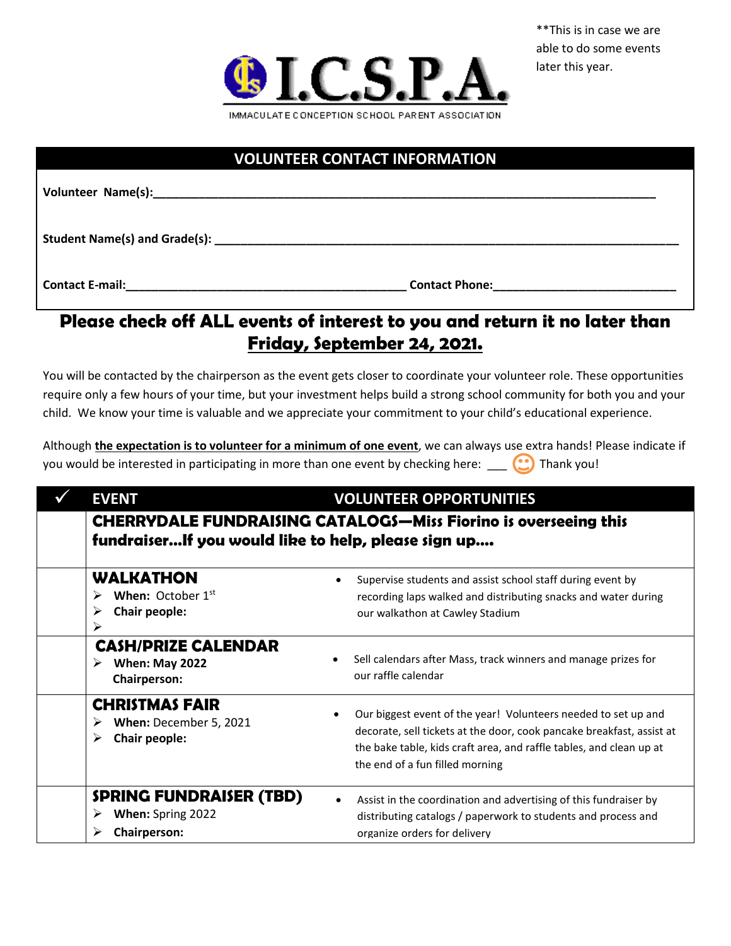

## **VOLUNTEER CONTACT INFORMATION**

Volunteer Name(s):

Student Name(s) and Grade(s): **with a state of the state of the state of the state of the state of the state of the state of the state of the state of the state of the state of the state of the state of the state of the st** 

**Contact E-mail:\_\_\_\_\_\_\_\_\_\_\_\_\_\_\_\_\_\_\_\_\_\_\_\_\_\_\_\_\_\_\_\_\_\_\_\_\_\_\_\_\_\_\_ Contact Phone:\_\_\_\_\_\_\_\_\_\_\_\_\_\_\_\_\_\_\_\_\_\_\_\_\_\_\_\_**

## **Please check off ALL events of interest to you and return it no later than Friday, September 24, 2021.**

You will be contacted by the chairperson as the event gets closer to coordinate your volunteer role. These opportunities require only a few hours of your time, but your investment helps build a strong school community for both you and your child. We know your time is valuable and we appreciate your commitment to your child's educational experience.

Although **the expectation is to volunteer for a minimum of one event**, we can always use extra hands! Please indicate if you would be interested in participating in more than one event by checking here:  $\bigcirc$  Thank you!

| <b>EVENT</b>                                                                                                                  | <b>VOLUNTEER OPPORTUNITIES</b>                                                                                                                                                                                                                    |  |
|-------------------------------------------------------------------------------------------------------------------------------|---------------------------------------------------------------------------------------------------------------------------------------------------------------------------------------------------------------------------------------------------|--|
| <b>CHERRYDALE FUNDRAISING CATALOGS-Miss Fiorino is overseeing this</b><br>fundraiserIf you would like to help, please sign up |                                                                                                                                                                                                                                                   |  |
| <b>WALKATHON</b><br><b>When:</b> October $1st$<br>Chair people:<br>➤<br>➤                                                     | Supervise students and assist school staff during event by<br>$\bullet$<br>recording laps walked and distributing snacks and water during<br>our walkathon at Cawley Stadium                                                                      |  |
| <b>CASH/PRIZE CALENDAR</b><br><b>When: May 2022</b><br><b>Chairperson:</b>                                                    | Sell calendars after Mass, track winners and manage prizes for<br>our raffle calendar                                                                                                                                                             |  |
| <b>CHRISTMAS FAIR</b><br>When: December 5, 2021<br>➤<br>Chair people:                                                         | Our biggest event of the year! Volunteers needed to set up and<br>decorate, sell tickets at the door, cook pancake breakfast, assist at<br>the bake table, kids craft area, and raffle tables, and clean up at<br>the end of a fun filled morning |  |
| <b>SPRING FUNDRAISER (TBD)</b><br>When: Spring 2022<br>➤<br><b>Chairperson:</b>                                               | Assist in the coordination and advertising of this fundraiser by<br>distributing catalogs / paperwork to students and process and<br>organize orders for delivery                                                                                 |  |